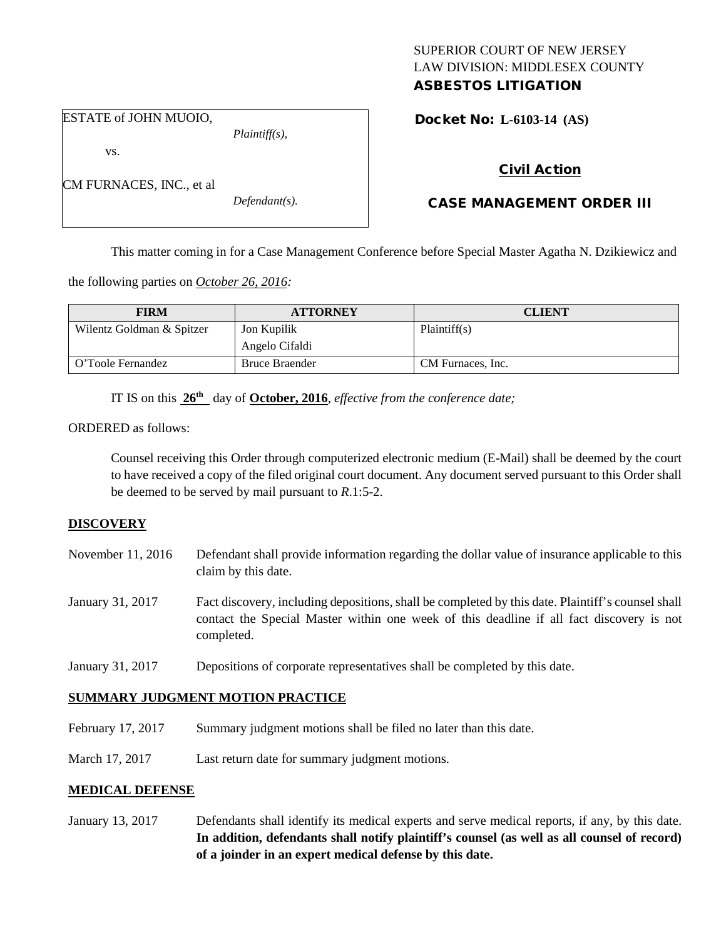## SUPERIOR COURT OF NEW JERSEY LAW DIVISION: MIDDLESEX COUNTY ASBESTOS LITIGATION

ESTATE of JOHN MUOIO,

CM FURNACES, INC., et al

vs.

*Plaintiff(s),*

*Defendant(s).*

Docket No: **L-6103-14 (AS)** 

# Civil Action

# CASE MANAGEMENT ORDER III

This matter coming in for a Case Management Conference before Special Master Agatha N. Dzikiewicz and

the following parties on *October 26, 2016:*

| <b>FIRM</b>               | <b>ATTORNEY</b>       | <b>CLIENT</b>     |
|---------------------------|-----------------------|-------------------|
| Wilentz Goldman & Spitzer | Jon Kupilik           | Plaintiff(s)      |
|                           | Angelo Cifaldi        |                   |
| O'Toole Fernandez         | <b>Bruce Braender</b> | CM Furnaces, Inc. |

IT IS on this **26th** day of **October, 2016**, *effective from the conference date;*

ORDERED as follows:

Counsel receiving this Order through computerized electronic medium (E-Mail) shall be deemed by the court to have received a copy of the filed original court document. Any document served pursuant to this Order shall be deemed to be served by mail pursuant to *R*.1:5-2.

## **DISCOVERY**

- November 11, 2016 Defendant shall provide information regarding the dollar value of insurance applicable to this claim by this date.
- January 31, 2017 Fact discovery, including depositions, shall be completed by this date. Plaintiff's counsel shall contact the Special Master within one week of this deadline if all fact discovery is not completed.
- January 31, 2017 Depositions of corporate representatives shall be completed by this date.

# **SUMMARY JUDGMENT MOTION PRACTICE**

- February 17, 2017 Summary judgment motions shall be filed no later than this date.
- March 17, 2017 Last return date for summary judgment motions.

## **MEDICAL DEFENSE**

January 13, 2017 Defendants shall identify its medical experts and serve medical reports, if any, by this date. **In addition, defendants shall notify plaintiff's counsel (as well as all counsel of record) of a joinder in an expert medical defense by this date.**